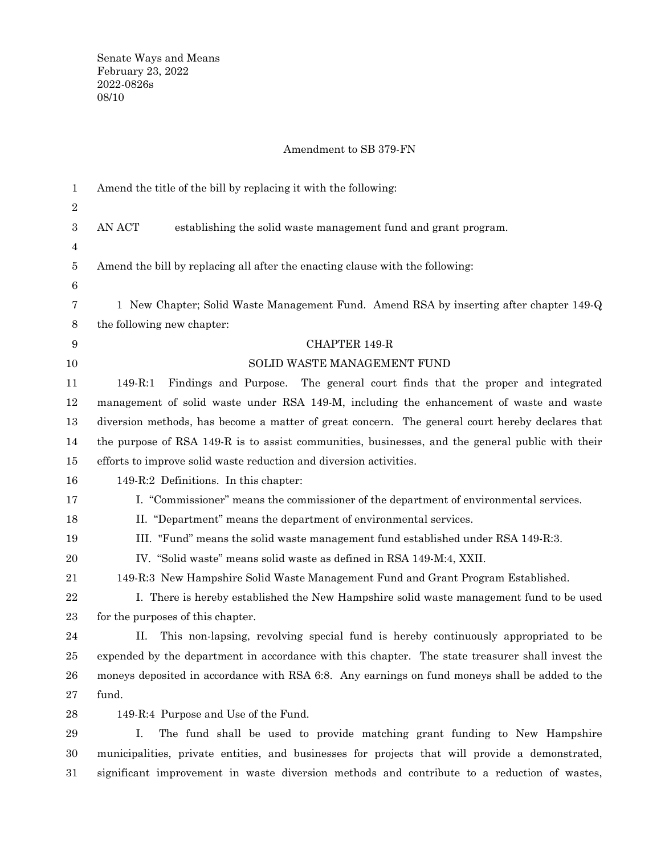## Amendment to SB 379-FN

| $\mathbf{1}$     | Amend the title of the bill by replacing it with the following:                                  |
|------------------|--------------------------------------------------------------------------------------------------|
| $\boldsymbol{2}$ |                                                                                                  |
| $\boldsymbol{3}$ | AN ACT<br>establishing the solid waste management fund and grant program.                        |
| $\overline{4}$   |                                                                                                  |
| $\bf 5$          | Amend the bill by replacing all after the enacting clause with the following:                    |
| 6                |                                                                                                  |
| 7                | 1 New Chapter; Solid Waste Management Fund. Amend RSA by inserting after chapter 149-Q           |
| 8                | the following new chapter:                                                                       |
| 9                | <b>CHAPTER 149-R</b>                                                                             |
| 10               | SOLID WASTE MANAGEMENT FUND                                                                      |
| 11               | 149-R:1<br>Findings and Purpose.<br>The general court finds that the proper and integrated       |
| 12               | management of solid waste under RSA 149-M, including the enhancement of waste and waste          |
| 13               | diversion methods, has become a matter of great concern. The general court hereby declares that  |
| 14               | the purpose of RSA 149-R is to assist communities, businesses, and the general public with their |
| 15               | efforts to improve solid waste reduction and diversion activities.                               |
| 16               | 149-R:2 Definitions. In this chapter:                                                            |
| 17               | I. "Commissioner" means the commissioner of the department of environmental services.            |
| 18               | II. "Department" means the department of environmental services.                                 |
| 19               | III. "Fund" means the solid waste management fund established under RSA 149-R:3.                 |
| 20               | IV. "Solid waste" means solid waste as defined in RSA 149-M:4, XXII.                             |
| 21               | 149-R:3 New Hampshire Solid Waste Management Fund and Grant Program Established.                 |
| 22               | I. There is hereby established the New Hampshire solid waste management fund to be used          |
| 23               | for the purposes of this chapter.                                                                |
| 24               | This non-lapsing, revolving special fund is hereby continuously appropriated to be<br>Π.         |
| 25               | expended by the department in accordance with this chapter. The state treasurer shall invest the |
| 26               | moneys deposited in accordance with RSA 6:8. Any earnings on fund moneys shall be added to the   |
| 27               | fund.                                                                                            |
| 28               | 149-R:4 Purpose and Use of the Fund.                                                             |
| 29               | The fund shall be used to provide matching grant funding to New Hampshire<br>Ι.                  |
|                  |                                                                                                  |

municipalities, private entities, and businesses for projects that will provide a demonstrated, significant improvement in waste diversion methods and contribute to a reduction of wastes, 30 31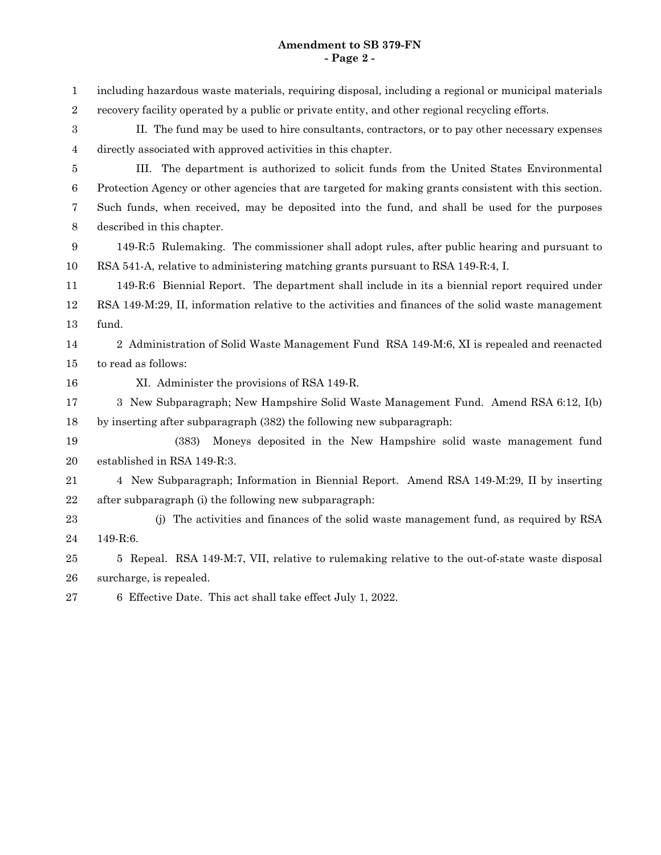including hazardous waste materials, requiring disposal, including a regional or municipal materials recovery facility operated by a public or private entity, and other regional recycling efforts. II. The fund may be used to hire consultants, contractors, or to pay other necessary expenses directly associated with approved activities in this chapter. III. The department is authorized to solicit funds from the United States Environmental Protection Agency or other agencies that are targeted for making grants consistent with this section. Such funds, when received, may be deposited into the fund, and shall be used for the purposes described in this chapter. 149-R:5 Rulemaking. The commissioner shall adopt rules, after public hearing and pursuant to RSA 541-A, relative to administering matching grants pursuant to RSA 149-R:4, I. 149-R:6 Biennial Report. The department shall include in its a biennial report required under RSA 149-M:29, II, information relative to the activities and finances of the solid waste management fund. 2 Administration of Solid Waste Management Fund RSA 149-M:6, XI is repealed and reenacted to read as follows: XI. Administer the provisions of RSA 149-R. 3 New Subparagraph; New Hampshire Solid Waste Management Fund. Amend RSA 6:12, I(b) by inserting after subparagraph (382) the following new subparagraph: (383) Moneys deposited in the New Hampshire solid waste management fund established in RSA 149-R:3. 4 New Subparagraph; Information in Biennial Report. Amend RSA 149-M:29, II by inserting after subparagraph (i) the following new subparagraph: (j) The activities and finances of the solid waste management fund, as required by RSA 149-R:6. 5 Repeal. RSA 149-M:7, VII, relative to rulemaking relative to the out-of-state waste disposal surcharge, is repealed. 6 Effective Date. This act shall take effect July 1, 2022. 1 2 3 4 5 6 7 8 9 10 11 12 13 14 15 16 17 18 19 20 21 22 23 24 25 26 27